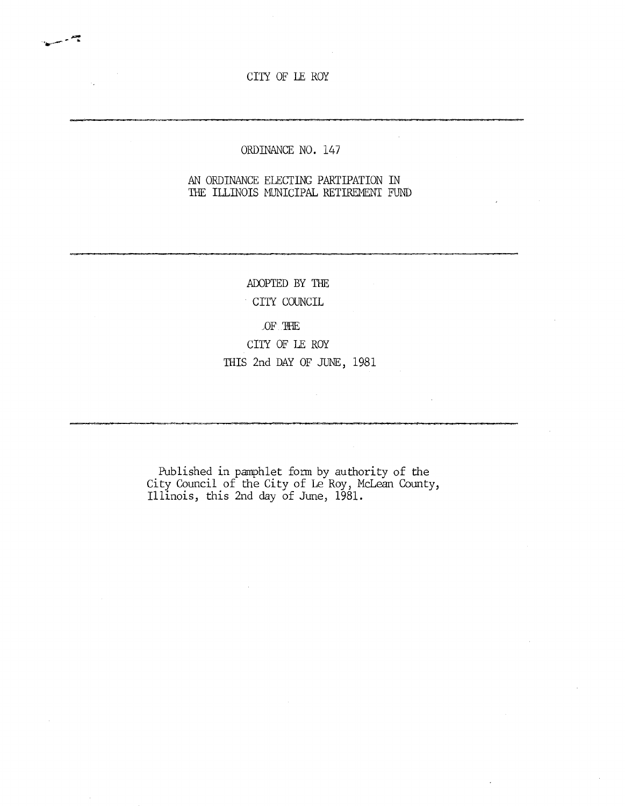CITY OF LE ROY

- 3

# ORDINANCE NO. 147

### AN ORDINANCE ELECTING PARTIPATION IN THE ILLINOIS MUNICIPAL RETIREMENT FUND

ADOPTED BY THE CITY COUNCIL

### OF THE

CITY OF LE ROY THIS 2nd DAY OF JUNE, 1981

Published in pamphlet form by authority of the City Council of the City of Le Roy, McLean County, Illinois, this 2nd day of June, 1981.